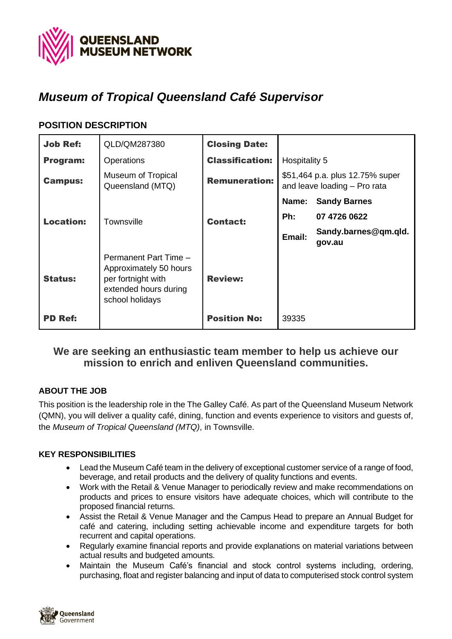

# *Museum of Tropical Queensland Café Supervisor*

# **POSITION DESCRIPTION**

| <b>Job Ref:</b>  | QLD/QM287380                                                                                                      | <b>Closing Date:</b>   |                                                                 |                                |
|------------------|-------------------------------------------------------------------------------------------------------------------|------------------------|-----------------------------------------------------------------|--------------------------------|
| Program:         | Operations                                                                                                        | <b>Classification:</b> | Hospitality 5                                                   |                                |
| <b>Campus:</b>   | Museum of Tropical<br>Queensland (MTQ)                                                                            | <b>Remuneration:</b>   | \$51,464 p.a. plus 12.75% super<br>and leave loading - Pro rata |                                |
|                  |                                                                                                                   |                        | Name:                                                           | <b>Sandy Barnes</b>            |
| <b>Location:</b> | <b>Townsville</b>                                                                                                 | <b>Contact:</b>        | Ph:                                                             | 07 4726 0622                   |
|                  |                                                                                                                   |                        | Email:                                                          | Sandy.barnes@qm.qld.<br>gov.au |
| <b>Status:</b>   | Permanent Part Time -<br>Approximately 50 hours<br>per fortnight with<br>extended hours during<br>school holidays | <b>Review:</b>         |                                                                 |                                |
| <b>PD Ref:</b>   |                                                                                                                   | <b>Position No:</b>    | 39335                                                           |                                |

# **We are seeking an enthusiastic team member to help us achieve our mission to enrich and enliven Queensland communities.**

### **ABOUT THE JOB**

This position is the leadership role in the The Galley Café. As part of the Queensland Museum Network (QMN), you will deliver a quality café, dining, function and events experience to visitors and guests of, the *Museum of Tropical Queensland (MTQ)*, in Townsville.

### **KEY RESPONSIBILITIES**

- Lead the Museum Café team in the delivery of exceptional customer service of a range of food, beverage, and retail products and the delivery of quality functions and events.
- Work with the Retail & Venue Manager to periodically review and make recommendations on products and prices to ensure visitors have adequate choices, which will contribute to the proposed financial returns.
- Assist the Retail & Venue Manager and the Campus Head to prepare an Annual Budget for café and catering, including setting achievable income and expenditure targets for both recurrent and capital operations.
- Regularly examine financial reports and provide explanations on material variations between actual results and budgeted amounts.
- Maintain the Museum Café's financial and stock control systems including, ordering, purchasing, float and register balancing and input of data to computerised stock control system

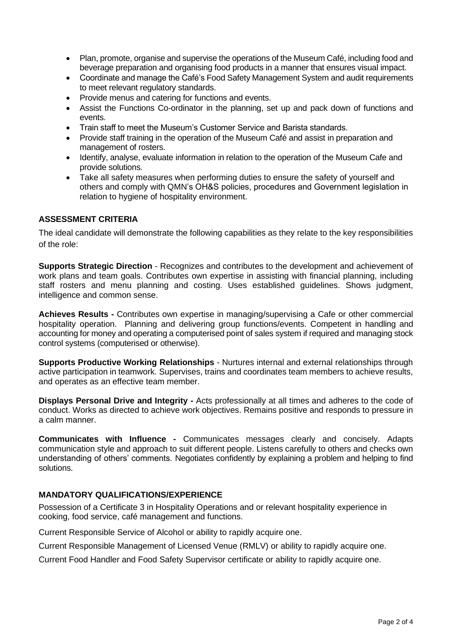- Plan, promote, organise and supervise the operations of the Museum Café, including food and beverage preparation and organising food products in a manner that ensures visual impact.
- Coordinate and manage the Café's Food Safety Management System and audit requirements to meet relevant regulatory standards.
- Provide menus and catering for functions and events.
- Assist the Functions Co-ordinator in the planning, set up and pack down of functions and events.
- Train staff to meet the Museum's Customer Service and Barista standards.
- Provide staff training in the operation of the Museum Café and assist in preparation and management of rosters.
- Identify, analyse, evaluate information in relation to the operation of the Museum Cafe and provide solutions.
- Take all safety measures when performing duties to ensure the safety of yourself and others and comply with QMN's OH&S policies, procedures and Government legislation in relation to hygiene of hospitality environment.

### **ASSESSMENT CRITERIA**

The ideal candidate will demonstrate the following capabilities as they relate to the key responsibilities of the role:

**Supports Strategic Direction** - Recognizes and contributes to the development and achievement of work plans and team goals. Contributes own expertise in assisting with financial planning, including staff rosters and menu planning and costing. Uses established guidelines. Shows judgment, intelligence and common sense.

**Achieves Results -** Contributes own expertise in managing/supervising a Cafe or other commercial hospitality operation. Planning and delivering group functions/events. Competent in handling and accounting for money and operating a computerised point of sales system if required and managing stock control systems (computerised or otherwise).

**Supports Productive Working Relationships** - Nurtures internal and external relationships through active participation in teamwork. Supervises, trains and coordinates team members to achieve results, and operates as an effective team member.

**Displays Personal Drive and Integrity -** Acts professionally at all times and adheres to the code of conduct. Works as directed to achieve work objectives. Remains positive and responds to pressure in a calm manner.

**Communicates with Influence -** Communicates messages clearly and concisely. Adapts communication style and approach to suit different people. Listens carefully to others and checks own understanding of others' comments. Negotiates confidently by explaining a problem and helping to find solutions.

### **MANDATORY QUALIFICATIONS/EXPERIENCE**

Possession of a Certificate 3 in Hospitality Operations and or relevant hospitality experience in cooking, food service, café management and functions.

Current Responsible Service of Alcohol or ability to rapidly acquire one.

Current Responsible Management of Licensed Venue (RMLV) or ability to rapidly acquire one.

Current Food Handler and Food Safety Supervisor certificate or ability to rapidly acquire one.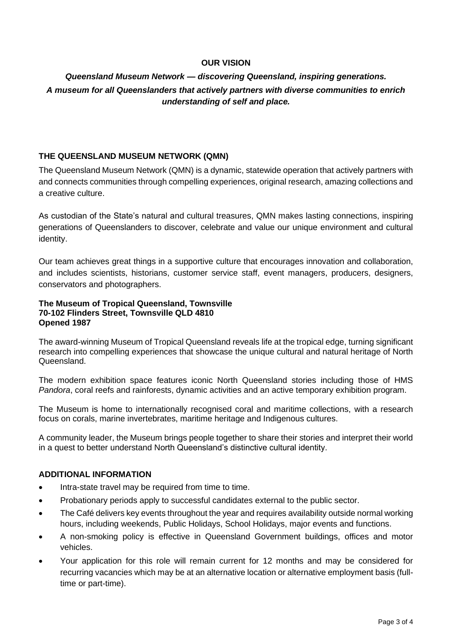### **OUR VISION**

## *Queensland Museum Network — discovering Queensland, inspiring generations. A museum for all Queenslanders that actively partners with diverse communities to enrich understanding of self and place.*

### **THE QUEENSLAND MUSEUM NETWORK (QMN)**

The Queensland Museum Network (QMN) is a dynamic, statewide operation that actively partners with and connects communities through compelling experiences, original research, amazing collections and a creative culture.

As custodian of the State's natural and cultural treasures, QMN makes lasting connections, inspiring generations of Queenslanders to discover, celebrate and value our unique environment and cultural identity.

Our team achieves great things in a supportive culture that encourages innovation and collaboration, and includes scientists, historians, customer service staff, event managers, producers, designers, conservators and photographers.

#### **The Museum of Tropical Queensland, Townsville 70-102 Flinders Street, Townsville QLD 4810 Opened 1987**

The award-winning Museum of Tropical Queensland reveals life at the tropical edge, turning significant research into compelling experiences that showcase the unique cultural and natural heritage of North Queensland.

The modern exhibition space features iconic North Queensland stories including those of HMS *Pandora*, coral reefs and rainforests, dynamic activities and an active temporary exhibition program.

The Museum is home to internationally recognised coral and maritime collections, with a research focus on corals, marine invertebrates, maritime heritage and Indigenous cultures.

A community leader, the Museum brings people together to share their stories and interpret their world in a quest to better understand North Queensland's distinctive cultural identity.

#### **ADDITIONAL INFORMATION**

- Intra-state travel may be required from time to time.
- Probationary periods apply to successful candidates external to the public sector.
- The Café delivers key events throughout the year and requires availability outside normal working hours, including weekends, Public Holidays, School Holidays, major events and functions.
- A non-smoking policy is effective in Queensland Government buildings, offices and motor vehicles.
- Your application for this role will remain current for 12 months and may be considered for recurring vacancies which may be at an alternative location or alternative employment basis (fulltime or part-time).